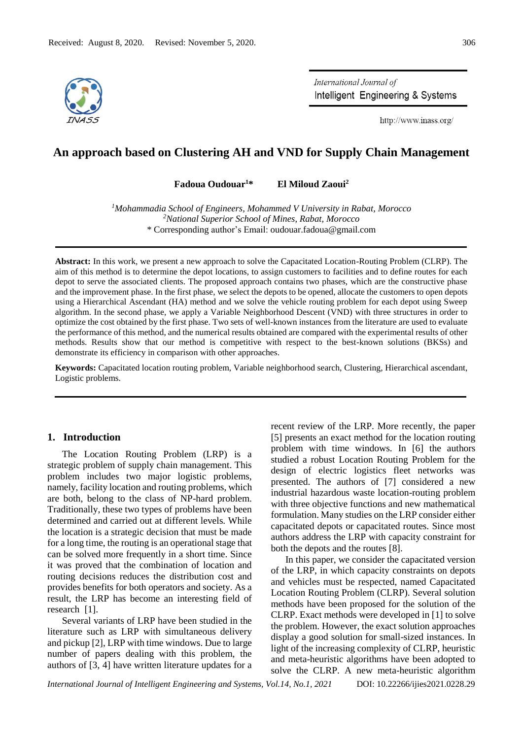

International Journal of Intelligent Engineering & Systems

http://www.inass.org/

# **An approach based on Clustering AH and VND for Supply Chain Management**

**Fadoua Oudouar<sup>1</sup>\* El Miloud Zaoui<sup>2</sup>**

*<sup>1</sup>Mohammadia School of Engineers, Mohammed V University in Rabat, Morocco <sup>2</sup>National Superior School of Mines, Rabat, Morocco* \* Corresponding author's Email: oudouar.fadoua@gmail.com

**Abstract:** In this work, we present a new approach to solve the Capacitated Location-Routing Problem (CLRP). The aim of this method is to determine the depot locations, to assign customers to facilities and to define routes for each depot to serve the associated clients. The proposed approach contains two phases, which are the constructive phase and the improvement phase. In the first phase, we select the depots to be opened, allocate the customers to open depots using a Hierarchical Ascendant (HA) method and we solve the vehicle routing problem for each depot using Sweep algorithm. In the second phase, we apply a Variable Neighborhood Descent (VND) with three structures in order to optimize the cost obtained by the first phase. Two sets of well-known instances from the literature are used to evaluate the performance of this method, and the numerical results obtained are compared with the experimental results of other methods. Results show that our method is competitive with respect to the best-known solutions (BKSs) and demonstrate its efficiency in comparison with other approaches.

**Keywords:** Capacitated location routing problem, Variable neighborhood search, Clustering, Hierarchical ascendant, Logistic problems.

## **1. Introduction**

The Location Routing Problem (LRP) is a strategic problem of supply chain management. This problem includes two major logistic problems, namely, facility location and routing problems, which are both, belong to the class of NP-hard problem. Traditionally, these two types of problems have been determined and carried out at different levels. While the location is a strategic decision that must be made for a long time, the routing is an operational stage that can be solved more frequently in a short time. Since it was proved that the combination of location and routing decisions reduces the distribution cost and provides benefits for both operators and society. As a result, the LRP has become an interesting field of research [1].

Several variants of LRP have been studied in the literature such as LRP with simultaneous delivery and pickup [2], LRP with time windows. Due to large number of papers dealing with this problem, the authors of [3, 4] have written literature updates for a

recent review of the LRP. More recently, the paper [5] presents an exact method for the location routing problem with time windows. In [6] the authors studied a robust Location Routing Problem for the design of electric logistics fleet networks was presented. The authors of [7] considered a new industrial hazardous waste location-routing problem with three objective functions and new mathematical formulation. Many studies on the LRP consider either capacitated depots or capacitated routes. Since most authors address the LRP with capacity constraint for both the depots and the routes [8].

In this paper, we consider the capacitated version of the LRP, in which capacity constraints on depots and vehicles must be respected, named Capacitated Location Routing Problem (CLRP). Several solution methods have been proposed for the solution of the CLRP. Exact methods were developed in [1] to solve the problem. However, the exact solution approaches display a good solution for small-sized instances. In light of the increasing complexity of CLRP, heuristic and meta-heuristic algorithms have been adopted to solve the CLRP. A new meta-heuristic algorithm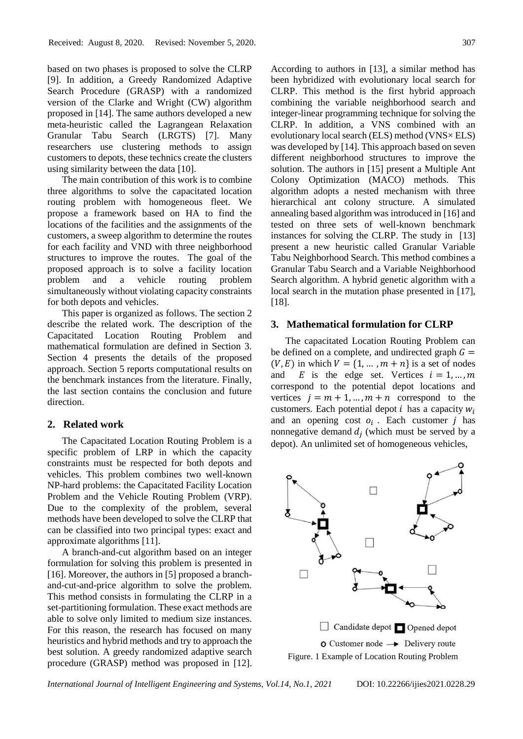based on two phases is proposed to solve the CLRP [9]. In addition, a Greedy Randomized Adaptive Search Procedure (GRASP) with a randomized version of the Clarke and Wright (CW) algorithm proposed in [14]. The same authors developed a new meta-heuristic called the Lagrangean Relaxation Granular Tabu Search (LRGTS) [7]. Many researchers use clustering methods to assign customers to depots, these technics create the clusters using similarity between the data [10].

The main contribution of this work is to combine three algorithms to solve the capacitated location routing problem with homogeneous fleet. We propose a framework based on HA to find the locations of the facilities and the assignments of the customers, a sweep algorithm to determine the routes for each facility and VND with three neighborhood structures to improve the routes. The goal of the proposed approach is to solve a facility location problem and a vehicle routing problem simultaneously without violating capacity constraints for both depots and vehicles.

This paper is organized as follows. The section 2 describe the related work. The description of the Capacitated Location Routing Problem and mathematical formulation are defined in Section 3. Section 4 presents the details of the proposed approach. Section 5 reports computational results on the benchmark instances from the literature. Finally, the last section contains the conclusion and future direction.

#### **2. Related work**

The Capacitated Location Routing Problem is a specific problem of LRP in which the capacity constraints must be respected for both depots and vehicles. This problem combines two well-known NP-hard problems: the Capacitated Facility Location Problem and the Vehicle Routing Problem (VRP). Due to the complexity of the problem, several methods have been developed to solve the CLRP that can be classified into two principal types: exact and approximate algorithms [11].

A branch-and-cut algorithm based on an integer formulation for solving this problem is presented in [16]. Moreover, the authors in [5] proposed a branchand-cut-and-price algorithm to solve the problem. This method consists in formulating the CLRP in a set-partitioning formulation. These exact methods are able to solve only limited to medium size instances. For this reason, the research has focused on many heuristics and hybrid methods and try to approach the best solution. A greedy randomized adaptive search procedure (GRASP) method was proposed in [12].

According to authors in [13], a similar method has been hybridized with evolutionary local search for CLRP. This method is the first hybrid approach combining the variable neighborhood search and integer-linear programming technique for solving the CLRP. In addition, a VNS combined with an evolutionary local search (ELS) method (VNS× ELS) was developed by [14]. This approach based on seven different neighborhood structures to improve the solution. The authors in [15] present a Multiple Ant Colony Optimization (MACO) methods. This algorithm adopts a nested mechanism with three hierarchical ant colony structure. A simulated annealing based algorithm was introduced in [16] and tested on three sets of well-known benchmark instances for solving the CLRP. The study in [13] present a new heuristic called Granular Variable Tabu Neighborhood Search. This method combines a Granular Tabu Search and a Variable Neighborhood Search algorithm. A hybrid genetic algorithm with a local search in the mutation phase presented in [17], [18].

## **3. Mathematical formulation for CLRP**

The capacitated Location Routing Problem can be defined on a complete, and undirected graph  $G =$  $(V, E)$  in which  $V = \{1, \dots, m + n\}$  is a set of nodes and E is the edge set. Vertices  $i = 1, ..., m$ correspond to the potential depot locations and vertices  $j = m + 1, ..., m + n$  correspond to the customers. Each potential depot  $i$  has a capacity  $w_i$ and an opening cost  $o_i$ . Each customer  $j$  has nonnegative demand  $d_j$  (which must be served by a depot). An unlimited set of homogeneous vehicles,

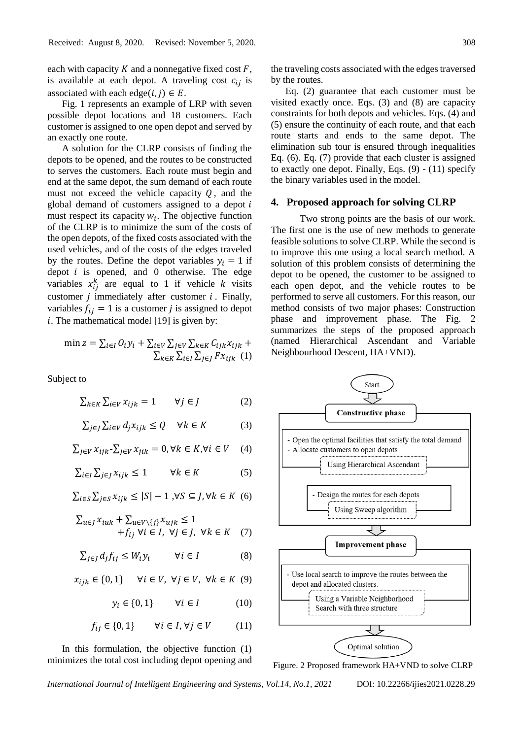each with capacity  $K$  and a nonnegative fixed cost  $F$ , is available at each depot. A traveling cost  $c_{ij}$  is associated with each edge( $i, j$ )  $\in E$ .

Fig. 1 represents an example of LRP with seven possible depot locations and 18 customers. Each customer is assigned to one open depot and served by an exactly one route.

A solution for the CLRP consists of finding the depots to be opened, and the routes to be constructed to serves the customers. Each route must begin and end at the same depot, the sum demand of each route must not exceed the vehicle capacity  $Q$ , and the global demand of customers assigned to a depot  $i$ must respect its capacity  $w_i$ . The objective function of the CLRP is to minimize the sum of the costs of the open depots, of the fixed costs associated with the used vehicles, and of the costs of the edges traveled by the routes. Define the depot variables  $y_i = 1$  if depot  $i$  is opened, and  $0$  otherwise. The edge variables  $x_{ij}^k$  are equal to 1 if vehicle k visits customer  $j$  immediately after customer  $i$ . Finally, variables  $f_{ij} = 1$  is a customer j is assigned to depot  $i$ . The mathematical model [19] is given by:

$$
\min z = \sum_{i \in I} O_i y_i + \sum_{i \in V} \sum_{j \in V} \sum_{k \in K} C_{ijk} x_{ijk} + \sum_{k \in K} \sum_{i \in I} \sum_{j \in J} F x_{ijk} (1)
$$

Subject to

$$
\sum_{k \in K} \sum_{i \in V} x_{ijk} = 1 \qquad \forall j \in J \tag{2}
$$

$$
\sum_{j \in J} \sum_{i \in V} d_j x_{ijk} \le Q \quad \forall k \in K \tag{3}
$$

 $\sum_{i\in V} x_{ijk} - \sum_{i\in V} x_{jik} = 0, \forall k \in K, \forall i \in V$  (4)

 $\sum_{i \in I} \sum_{j \in I} x_{ijk} \leq 1$   $\forall k \in K$  (5)

$$
\sum_{i \in S} \sum_{j \in S} x_{ijk} \le |S| - 1, \forall S \subseteq J, \forall k \in K \ (6)
$$

$$
\sum_{u \in J} x_{iuk} + \sum_{u \in V \setminus \{j\}} x_{ujk} \le 1 + f_{ij} \forall i \in I, \forall j \in J, \forall k \in K \quad (7)
$$

$$
\sum_{j\in J}d_jf_{ij}\leq W_i y_i \qquad \forall i\in I \qquad \qquad (8)
$$

$$
x_{ijk} \in \{0, 1\} \quad \forall i \in V, \ \forall j \in V, \ \forall k \in K \ (9)
$$

 $y_i \in \{0, 1\}$   $\forall i \in I$  (10)

$$
f_{ij} \in \{0, 1\} \qquad \forall i \in I, \forall j \in V \tag{11}
$$

In this formulation, the objective function (1) minimizes the total cost including depot opening and the traveling costs associated with the edges traversed by the routes.

Eq. (2) guarantee that each customer must be visited exactly once. Eqs. (3) and (8) are capacity constraints for both depots and vehicles. Eqs. (4) and (5) ensure the continuity of each route, and that each route starts and ends to the same depot. The elimination sub tour is ensured through inequalities Eq. (6). Eq. (7) provide that each cluster is assigned to exactly one depot. Finally, Eqs.  $(9)$  -  $(11)$  specify the binary variables used in the model.

### **4. Proposed approach for solving CLRP**

Two strong points are the basis of our work. The first one is the use of new methods to generate feasible solutions to solve CLRP. While the second is to improve this one using a local search method. A solution of this problem consists of determining the depot to be opened, the customer to be assigned to each open depot, and the vehicle routes to be performed to serve all customers. For this reason, our method consists of two major phases: Construction phase and improvement phase. The Fig. 2 summarizes the steps of the proposed approach (named Hierarchical Ascendant and Variable Neighbourhood Descent, HA+VND).



Figure. 2 Proposed framework HA+VND to solve CLRP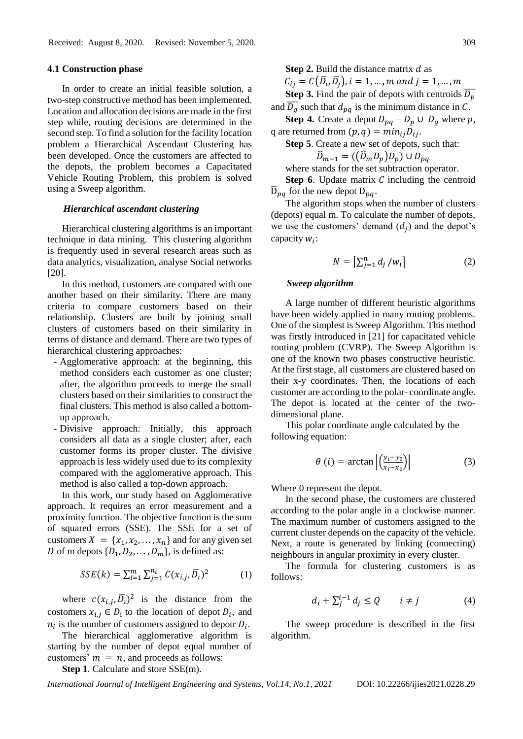#### **4.1 Construction phase**

In order to create an initial feasible solution, a two-step constructive method has been implemented. Location and allocation decisions are made in the first step while, routing decisions are determined in the second step. To find a solution for the facility location problem a Hierarchical Ascendant Clustering has been developed. Once the customers are affected to the depots, the problem becomes a Capacitated Vehicle Routing Problem, this problem is solved using a Sweep algorithm.

#### *Hierarchical ascendant clustering*

Hierarchical clustering algorithms is an important technique in data mining. This clustering algorithm is frequently used in several research areas such as data analytics, visualization, analyse Social networks [20].

In this method, customers are compared with one another based on their similarity. There are many criteria to compare customers based on their relationship. Clusters are built by joining small clusters of customers based on their similarity in terms of distance and demand. There are two types of hierarchical clustering approaches:

- Agglomerative approach: at the beginning, this method considers each customer as one cluster; after, the algorithm proceeds to merge the small clusters based on their similarities to construct the final clusters. This method is also called a bottomup approach.
- Divisive approach: Initially, this approach considers all data as a single cluster; after, each customer forms its proper cluster. The divisive approach is less widely used due to its complexity compared with the agglomerative approach. This method is also called a top-down approach.

In this work, our study based on Agglomerative approach. It requires an error measurement and a proximity function. The objective function is the sum of squared errors (SSE). The SSE for a set of customers  $X = \{x_1, x_2, ..., x_n\}$  and for any given set D of m depots  $\{D_1, D_2, \ldots, D_m\}$ , is defined as:

$$
SSE(k) = \sum_{i=1}^{m} \sum_{j=1}^{n_i} C(x_{i,j}, \overline{D}_i)^2
$$
 (1)

where  $c(x_{i,j}, \overline{D}_i)^2$  is the distance from the costomers  $x_{i,j} \in D_i$  to the location of depot  $D_i$ , and  $n_i$  is the number of customers assigned to depotr  $D_i$ .

The hierarchical agglomerative algorithm is starting by the number of depot equal number of customers'  $m = n$ , and proceeds as follows:

**Step 1**. Calculate and store SSE(m).

**Step 2.** Build the distance matrix d as  $C_{ij} = C(\overline{D}_i, \overline{D}_j), i = 1, ..., m$  and  $j = 1, ..., m$ 

**Step 3.** Find the pair of depots with centroids  $\overline{D_p}$ and  $\overline{D_q}$  such that  $d_{pq}$  is the minimum distance in C.

**Step 4.** Create a depot  $D_{pq} = D_p \cup D_q$  where p, q are returned from  $(p, q) = min_{ij}D_{ij}$ .

**Step 5**. Create a new set of depots, such that:  $\widehat{D}_{m-1} = ((\widehat{D}_m D_n) D_n) \cup D_{na}$ 

where stands for the set subtraction operator.

**Step 6.** Update matrix  $C$  including the centroid  $D_{pq}$  for the new depot  $D_{pq}$ .

The algorithm stops when the number of clusters (depots) equal m. To calculate the number of depots, we use the customers' demand  $(d_j)$  and the depot's capacity  $w_i$ :

$$
N = \left[\sum_{j=1}^{n} d_j / w_i\right]
$$
 (2)

## *Sweep algorithm*

A large number of different heuristic algorithms have been widely applied in many routing problems. One of the simplest is Sweep Algorithm. This method was firstly introduced in [21] for capacitated vehicle routing problem (CVRP). The Sweep Algorithm is one of the known two phases constructive heuristic. At the first stage, all customers are clustered based on their x-y coordinates. Then, the locations of each customer are according to the polar- coordinate angle. The depot is located at the center of the twodimensional plane.

This polar coordinate angle calculated by the following equation:

$$
\theta(i) = \arctan\left|\left(\frac{y_i - y_0}{x_i - x_0}\right)\right| \tag{3}
$$

Where 0 represent the depot.

In the second phase, the customers are clustered according to the polar angle in a clockwise manner. The maximum number of customers assigned to the current cluster depends on the capacity of the vehicle. Next, a route is generated by linking (connecting) neighbours in angular proximity in every cluster.

The formula for clustering customers is as follows:

$$
d_i + \sum_{j}^{i-1} d_j \le Q \qquad i \ne j \tag{4}
$$

The sweep procedure is described in the first algorithm.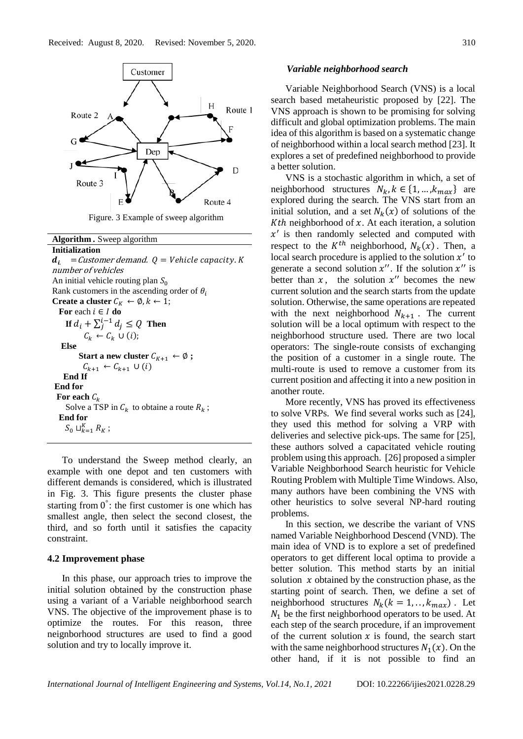

Figure. 3 Example of sweep algorithm

**Algorithm** *.* Sweep algorithm **Initialization**  $d_i$  = Customer demand.  $Q$  = Vehicle capacity. K number of vehicles An initial vehicle routing plan  $S_0$ Rank customers in the ascending order of  $\theta_i$ **Create a cluster**  $C_K \leftarrow \emptyset, k \leftarrow 1;$ **For** each  $i \in I$  **do If**  $d_i + \sum_{j}^{i-1} d_j \leq Q$  **Then**  $C_k \leftarrow C_k \cup (i);$  **Else Start a new cluster**  $C_{K+1} \leftarrow \emptyset$  **;**  $C_{k+1}$  ←  $C_{k+1}$  ∪ (*i*)  **End If End for** For each  $C_k$ Solve a TSP in  $C_k$  to obtaine a route  $R_k$ ;  **End for**  $S_0 \sqcup_{k=1}^K R_k$ ;

To understand the Sweep method clearly, an example with one depot and ten customers with different demands is considered, which is illustrated in Fig. 3. This figure presents the cluster phase starting from  $0^\circ$ : the first customer is one which has smallest angle, then select the second closest, the third, and so forth until it satisfies the capacity constraint.

#### **4.2 Improvement phase**

In this phase, our approach tries to improve the initial solution obtained by the construction phase using a variant of a Variable neighborhood search VNS. The objective of the improvement phase is to optimize the routes. For this reason, three neignborhood structures are used to find a good solution and try to locally improve it.

#### *Variable neighborhood search*

Variable Neighborhood Search (VNS) is a local search based metaheuristic proposed by [22]. The VNS approach is shown to be promising for solving difficult and global optimization problems. The main idea of this algorithm is based on a systematic change of neighborhood within a local search method [23]. It explores a set of predefined neighborhood to provide a better solution.

VNS is a stochastic algorithm in which, a set of neighborhood structures  $N_k$ ,  $k \in \{1, ..., k_{max}\}\$  are explored during the search. The VNS start from an initial solution, and a set  $N_k(x)$  of solutions of the Kth neighborhood of  $x$ . At each iteration, a solution  $x'$  is then randomly selected and computed with respect to the  $K^{th}$  neighborhood,  $N_k(x)$ . Then, a local search procedure is applied to the solution  $x'$  to generate a second solution  $x''$ . If the solution  $x''$  is better than  $x$ , the solution  $x''$  becomes the new current solution and the search starts from the update solution. Otherwise, the same operations are repeated with the next neighborhood  $N_{k+1}$ . The current solution will be a local optimum with respect to the neighborhood structure used. There are two local operators: The single-route consists of exchanging the position of a customer in a single route. The multi-route is used to remove a customer from its current position and affecting it into a new position in another route.

More recently, VNS has proved its effectiveness to solve VRPs. We find several works such as [24], they used this method for solving a VRP with deliveries and selective pick-ups. The same for [25], these authors solved a capacitated vehicle routing problem using this approach. [26] proposed a simpler Variable Neighborhood Search heuristic for Vehicle Routing Problem with Multiple Time Windows. Also, many authors have been combining the VNS with other heuristics to solve several NP-hard routing problems.

In this section, we describe the variant of VNS named Variable Neighborhood Descend (VND). The main idea of VND is to explore a set of predefined operators to get different local optima to provide a better solution. This method starts by an initial solution  $x$  obtained by the construction phase, as the starting point of search. Then, we define a set of neighborhood structures  $N_k (k = 1, \ldots, k_{max})$ . Let  $N_1$  be the first neighborhood operators to be used. At each step of the search procedure, if an improvement of the current solution  $x$  is found, the search start with the same neighborhood structures  $N_1(x)$ . On the other hand, if it is not possible to find an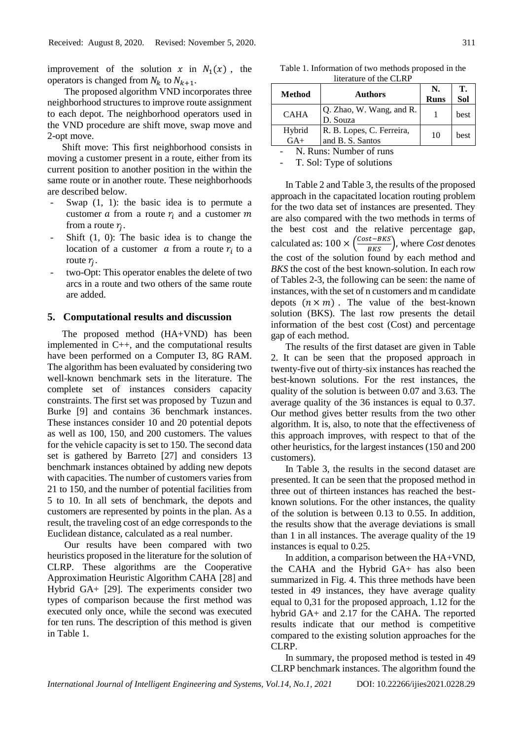improvement of the solution x in  $N_1(x)$ , the operators is changed from  $N_k$  to  $N_{k+1}$ .

The proposed algorithm VND incorporates three neighborhood structures to improve route assignment to each depot. The neighborhood operators used in the VND procedure are shift move, swap move and 2-opt move.

Shift move: This first neighborhood consists in moving a customer present in a route, either from its current position to another position in the within the same route or in another route. These neighborhoods are described below.

- Swap  $(1, 1)$ : the basic idea is to permute a customer  $\alpha$  from a route  $r_i$  and a customer  $m$ from a route  $r_j$ .
- Shift  $(1, 0)$ : The basic idea is to change the location of a customer  $\alpha$  from a route  $r_i$  to a route  $r_j$ .
- two-Opt: This operator enables the delete of two arcs in a route and two others of the same route are added.

#### **5. Computational results and discussion**

The proposed method (HA+VND) has been implemented in C++, and the computational results have been performed on a Computer I3, 8G RAM. The algorithm has been evaluated by considering two well-known benchmark sets in the literature. The complete set of instances considers capacity constraints. The first set was proposed by Tuzun and Burke [9] and contains 36 benchmark instances. These instances consider 10 and 20 potential depots as well as 100, 150, and 200 customers. The values for the vehicle capacity is set to 150. The second data set is gathered by Barreto [27] and considers 13 benchmark instances obtained by adding new depots with capacities. The number of customers varies from 21 to 150, and the number of potential facilities from 5 to 10. In all sets of benchmark, the depots and customers are represented by points in the plan. As a result, the traveling cost of an edge corresponds to the Euclidean distance, calculated as a real number.

Our results have been compared with two heuristics proposed in the literature for the solution of CLRP. These algorithms are the Cooperative Approximation Heuristic Algorithm CAHA [28] and Hybrid GA+ [29]. The experiments consider two types of comparison because the first method was executed only once, while the second was executed for ten runs. The description of this method is given in Table 1.

Table 1. Information of two methods proposed in the literature of the CLRP

| Method          | <b>Authors</b>                                | N.   | T.          |
|-----------------|-----------------------------------------------|------|-------------|
|                 |                                               | Runs | Sol         |
| <b>CAHA</b>     | Q. Zhao, W. Wang, and R.<br>D. Souza          |      | <b>best</b> |
| Hybrid<br>$GA+$ | R. B. Lopes, C. Ferreira,<br>and B. S. Santos | 10   | best        |

N. Runs: Number of runs

T. Sol: Type of solutions

In Table 2 and Table 3, the results of the proposed approach in the capacitated location routing problem for the two data set of instances are presented. They are also compared with the two methods in terms of the best cost and the relative percentage gap, calculated as:  $100 \times \left(\frac{Cost-BKS}{BKS}\right)$ , where *Cost* denotes the cost of the solution found by each method and *BKS* the cost of the best known-solution. In each row of Tables 2-3, the following can be seen: the name of instances, with the set of n customers and m candidate depots  $(n \times m)$ . The value of the best-known solution (BKS). The last row presents the detail information of the best cost (Cost) and percentage gap of each method.

The results of the first dataset are given in Table 2. It can be seen that the proposed approach in twenty-five out of thirty-six instances has reached the best-known solutions. For the rest instances, the quality of the solution is between 0.07 and 3.63. The average quality of the 36 instances is equal to 0.37. Our method gives better results from the two other algorithm. It is, also, to note that the effectiveness of this approach improves, with respect to that of the other heuristics, for the largest instances (150 and 200 customers).

In Table 3, the results in the second dataset are presented. It can be seen that the proposed method in three out of thirteen instances has reached the bestknown solutions. For the other instances, the quality of the solution is between 0.13 to 0.55. In addition, the results show that the average deviations is small than 1 in all instances. The average quality of the 19 instances is equal to 0.25.

In addition, a comparison between the HA+VND, the CAHA and the Hybrid GA+ has also been summarized in Fig. 4. This three methods have been tested in 49 instances, they have average quality equal to 0,31 for the proposed approach, 1.12 for the hybrid GA+ and 2.17 for the CAHA. The reported results indicate that our method is competitive compared to the existing solution approaches for the CLRP.

In summary, the proposed method is tested in 49 CLRP benchmark instances. The algorithm found the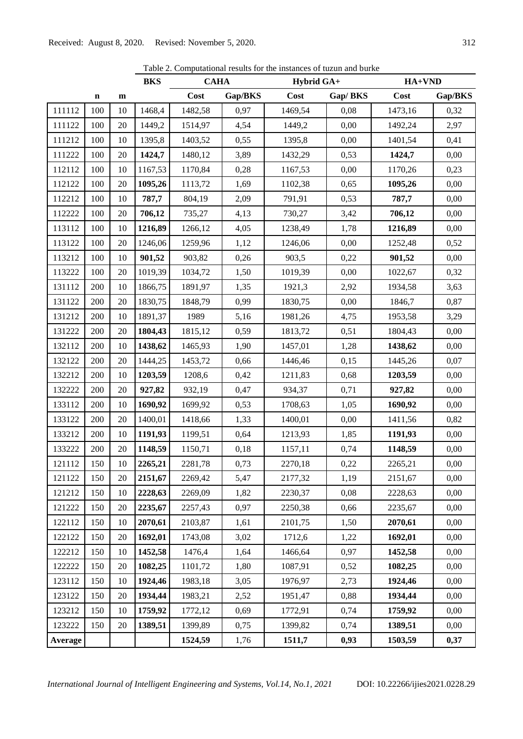|         |             |    | <b>BKS</b> | <b>CAHA</b> |         | Hybrid GA+ |         | HA+VND  |         |
|---------|-------------|----|------------|-------------|---------|------------|---------|---------|---------|
|         | $\mathbf n$ | m  |            | Cost        | Gap/BKS | Cost       | Gap/BKS | Cost    | Gap/BKS |
| 111112  | 100         | 10 | 1468,4     | 1482,58     | 0,97    | 1469,54    | 0,08    | 1473,16 | 0,32    |
| 111122  | 100         | 20 | 1449,2     | 1514,97     | 4,54    | 1449,2     | 0,00    | 1492,24 | 2,97    |
| 111212  | 100         | 10 | 1395,8     | 1403,52     | 0,55    | 1395,8     | 0,00    | 1401,54 | 0,41    |
| 111222  | 100         | 20 | 1424,7     | 1480,12     | 3,89    | 1432,29    | 0,53    | 1424,7  | 0,00    |
| 112112  | 100         | 10 | 1167,53    | 1170,84     | 0,28    | 1167,53    | 0,00    | 1170,26 | 0,23    |
| 112122  | 100         | 20 | 1095,26    | 1113,72     | 1,69    | 1102,38    | 0,65    | 1095,26 | 0,00    |
| 112212  | 100         | 10 | 787,7      | 804,19      | 2,09    | 791,91     | 0,53    | 787,7   | 0,00    |
| 112222  | 100         | 20 | 706,12     | 735,27      | 4,13    | 730,27     | 3,42    | 706,12  | 0,00    |
| 113112  | 100         | 10 | 1216,89    | 1266,12     | 4,05    | 1238,49    | 1,78    | 1216,89 | 0,00    |
| 113122  | 100         | 20 | 1246,06    | 1259,96     | 1,12    | 1246,06    | 0,00    | 1252,48 | 0,52    |
| 113212  | 100         | 10 | 901,52     | 903,82      | 0,26    | 903,5      | 0,22    | 901,52  | 0,00    |
| 113222  | 100         | 20 | 1019,39    | 1034,72     | 1,50    | 1019,39    | 0,00    | 1022,67 | 0,32    |
| 131112  | 200         | 10 | 1866,75    | 1891,97     | 1,35    | 1921,3     | 2,92    | 1934,58 | 3,63    |
| 131122  | 200         | 20 | 1830,75    | 1848,79     | 0,99    | 1830,75    | 0,00    | 1846,7  | 0,87    |
| 131212  | 200         | 10 | 1891,37    | 1989        | 5,16    | 1981,26    | 4,75    | 1953,58 | 3,29    |
| 131222  | 200         | 20 | 1804,43    | 1815,12     | 0,59    | 1813,72    | 0,51    | 1804,43 | 0,00    |
| 132112  | 200         | 10 | 1438,62    | 1465,93     | 1,90    | 1457,01    | 1,28    | 1438,62 | 0,00    |
| 132122  | 200         | 20 | 1444,25    | 1453,72     | 0,66    | 1446,46    | 0,15    | 1445,26 | 0,07    |
| 132212  | 200         | 10 | 1203,59    | 1208,6      | 0,42    | 1211,83    | 0,68    | 1203,59 | 0,00    |
| 132222  | 200         | 20 | 927,82     | 932,19      | 0,47    | 934,37     | 0,71    | 927,82  | 0,00    |
| 133112  | 200         | 10 | 1690,92    | 1699,92     | 0,53    | 1708,63    | 1,05    | 1690,92 | 0,00    |
| 133122  | 200         | 20 | 1400,01    | 1418,66     | 1,33    | 1400,01    | 0,00    | 1411,56 | 0,82    |
| 133212  | 200         | 10 | 1191,93    | 1199,51     | 0,64    | 1213,93    | 1,85    | 1191,93 | 0,00    |
| 133222  | 200         | 20 | 1148,59    | 1150,71     | 0,18    | 1157,11    | 0,74    | 1148,59 | 0,00    |
| 121112  | 150         | 10 | 2265,21    | 2281,78     | 0,73    | 2270,18    | 0,22    | 2265,21 | 0,00    |
| 121122  | 150         | 20 | 2151,67    | 2269,42     | 5,47    | 2177,32    | 1,19    | 2151,67 | 0,00    |
| 121212  | 150         | 10 | 2228,63    | 2269,09     | 1,82    | 2230,37    | 0,08    | 2228,63 | 0,00    |
| 121222  | 150         | 20 | 2235,67    | 2257,43     | 0,97    | 2250,38    | 0,66    | 2235,67 | 0,00    |
| 122112  | 150         | 10 | 2070,61    | 2103,87     | 1,61    | 2101,75    | 1,50    | 2070,61 | 0,00    |
| 122122  | 150         | 20 | 1692,01    | 1743,08     | 3,02    | 1712,6     | 1,22    | 1692,01 | 0,00    |
| 122212  | 150         | 10 | 1452,58    | 1476,4      | 1,64    | 1466,64    | 0,97    | 1452,58 | 0,00    |
| 122222  | 150         | 20 | 1082,25    | 1101,72     | 1,80    | 1087,91    | 0,52    | 1082,25 | 0,00    |
| 123112  | 150         | 10 | 1924,46    | 1983,18     | 3,05    | 1976,97    | 2,73    | 1924,46 | 0,00    |
| 123122  | 150         | 20 | 1934,44    | 1983,21     | 2,52    | 1951,47    | 0,88    | 1934,44 | 0,00    |
| 123212  | 150         | 10 | 1759,92    | 1772,12     | 0,69    | 1772,91    | 0,74    | 1759,92 | 0,00    |
| 123222  | 150         | 20 | 1389,51    | 1399,89     | 0,75    | 1399,82    | 0,74    | 1389,51 | 0,00    |
| Average |             |    |            | 1524,59     | 1,76    | 1511,7     | 0,93    | 1503,59 | 0,37    |

Table 2. Computational results for the instances of tuzun and burke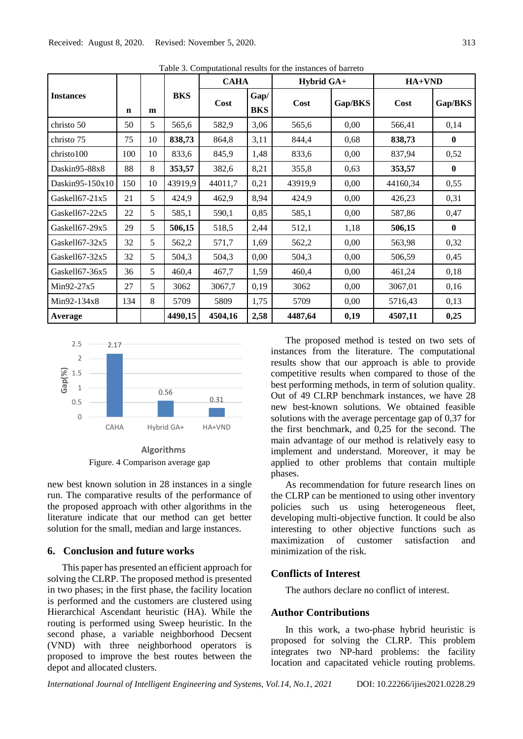|                        |             |    |            | <b>CAHA</b> |                    | Hybrid GA+ |         | HA+VND   |              |
|------------------------|-------------|----|------------|-------------|--------------------|------------|---------|----------|--------------|
| <b>Instances</b>       | $\mathbf n$ | m  | <b>BKS</b> | Cost        | Gap/<br><b>BKS</b> | Cost       | Gap/BKS | Cost     | Gap/BKS      |
| christo 50             | 50          | 5  | 565,6      | 582,9       | 3,06               | 565,6      | 0,00    | 566,41   | 0,14         |
| christo 75             | 75          | 10 | 838,73     | 864,8       | 3,11               | 844,4      | 0,68    | 838,73   | $\mathbf{0}$ |
| christo <sub>100</sub> | 100         | 10 | 833,6      | 845,9       | 1,48               | 833,6      | 0,00    | 837,94   | 0,52         |
| Daskin95-88x8          | 88          | 8  | 353,57     | 382,6       | 8,21               | 355,8      | 0,63    | 353,57   | $\mathbf{0}$ |
| Daskin95-150 $x10$     | 150         | 10 | 43919,9    | 44011,7     | 0,21               | 43919,9    | 0,00    | 44160,34 | 0,55         |
| Gaskel $167-21x5$      | 21          | 5  | 424,9      | 462,9       | 8,94               | 424,9      | 0,00    | 426,23   | 0,31         |
| Gaskell67-22x5         | 22          | 5  | 585,1      | 590,1       | 0,85               | 585,1      | 0,00    | 587,86   | 0,47         |
| Gaskel167-29x5         | 29          | 5  | 506,15     | 518,5       | 2,44               | 512,1      | 1,18    | 506,15   | $\mathbf{0}$ |
| Gaskell67-32x5         | 32          | 5  | 562,2      | 571,7       | 1,69               | 562,2      | 0,00    | 563,98   | 0,32         |
| Gaskell67-32x5         | 32          | 5  | 504,3      | 504,3       | 0,00               | 504,3      | 0.00    | 506,59   | 0,45         |
| Gaskell67-36x5         | 36          | 5  | 460,4      | 467,7       | 1,59               | 460,4      | 0,00    | 461,24   | 0,18         |
| Min92-27x5             | 27          | 5  | 3062       | 3067,7      | 0,19               | 3062       | 0,00    | 3067,01  | 0,16         |
| Min92-134x8            | 134         | 8  | 5709       | 5809        | 1,75               | 5709       | 0,00    | 5716,43  | 0,13         |
| Average                |             |    | 4490,15    | 4504,16     | 2,58               | 4487,64    | 0,19    | 4507,11  | 0,25         |

Table 3. Computational results for the instances of barreto



Figure. 4 Comparison average gap **Algorithms**

new best known solution in 28 instances in a single run. The comparative results of the performance of the proposed approach with other algorithms in the literature indicate that our method can get better solution for the small, median and large instances.

## **6. Conclusion and future works**

This paper has presented an efficient approach for solving the CLRP. The proposed method is presented in two phases; in the first phase, the facility location is performed and the customers are clustered using Hierarchical Ascendant heuristic (HA). While the routing is performed using Sweep heuristic. In the second phase, a variable neighborhood Decsent (VND) with three neighborhood operators is proposed to improve the best routes between the depot and allocated clusters.

The proposed method is tested on two sets of instances from the literature. The computational results show that our approach is able to provide competitive results when compared to those of the best performing methods, in term of solution quality. Out of 49 CLRP benchmark instances, we have 28 new best-known solutions. We obtained feasible solutions with the average percentage gap of 0,37 for the first benchmark, and 0,25 for the second. The main advantage of our method is relatively easy to implement and understand. Moreover, it may be applied to other problems that contain multiple phases.

As recommendation for future research lines on the CLRP can be mentioned to using other inventory policies such us using heterogeneous fleet, developing multi-objective function. It could be also interesting to other objective functions such as maximization of customer satisfaction and minimization of the risk.

### **Conflicts of Interest**

The authors declare no conflict of interest.

### **Author Contributions**

In this work, a two-phase hybrid heuristic is proposed for solving the CLRP. This problem integrates two NP-hard problems: the facility location and capacitated vehicle routing problems.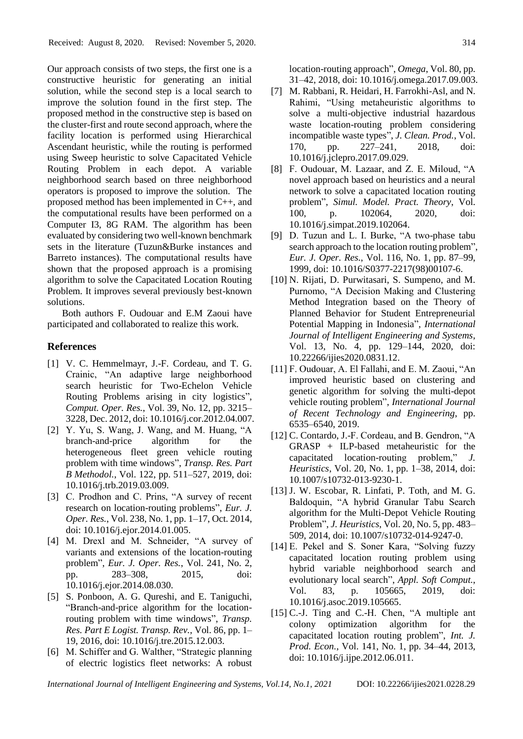Our approach consists of two steps, the first one is a constructive heuristic for generating an initial solution, while the second step is a local search to improve the solution found in the first step. The proposed method in the constructive step is based on the cluster-first and route second approach, where the facility location is performed using Hierarchical Ascendant heuristic, while the routing is performed using Sweep heuristic to solve Capacitated Vehicle Routing Problem in each depot. A variable neighborhood search based on three neighborhood operators is proposed to improve the solution. The proposed method has been implemented in C++, and the computational results have been performed on a Computer I3, 8G RAM. The algorithm has been evaluated by considering two well-known benchmark sets in the literature (Tuzun&Burke instances and Barreto instances). The computational results have shown that the proposed approach is a promising algorithm to solve the Capacitated Location Routing Problem. It improves several previously best-known solutions.

Both authors F. Oudouar and E.M Zaoui have participated and collaborated to realize this work.

### **References**

- [1] V. C. Hemmelmayr, J.-F. Cordeau, and T. G. Crainic, "An adaptive large neighborhood search heuristic for Two-Echelon Vehicle Routing Problems arising in city logistics", *Comput. Oper. Res.*, Vol. 39, No. 12, pp. 3215– 3228, Dec. 2012, doi: 10.1016/j.cor.2012.04.007.
- [2] Y. Yu, S. Wang, J. Wang, and M. Huang, "A branch-and-price algorithm for the heterogeneous fleet green vehicle routing problem with time windows", *Transp. Res. Part B Methodol.*, Vol. 122, pp. 511–527, 2019, doi: 10.1016/j.trb.2019.03.009.
- [3] C. Prodhon and C. Prins, "A survey of recent research on location-routing problems", *Eur. J. Oper. Res.*, Vol. 238, No. 1, pp. 1–17, Oct. 2014, doi: 10.1016/j.ejor.2014.01.005.
- [4] M. Drexl and M. Schneider, "A survey of variants and extensions of the location-routing problem", *Eur. J. Oper. Res.*, Vol. 241, No. 2, pp. 283–308, 2015, doi: 10.1016/j.ejor.2014.08.030.
- [5] S. Ponboon, A. G. Qureshi, and E. Taniguchi, "Branch-and-price algorithm for the locationrouting problem with time windows", *Transp. Res. Part E Logist. Transp. Rev.*, Vol. 86, pp. 1– 19, 2016, doi: 10.1016/j.tre.2015.12.003.
- [6] M. Schiffer and G. Walther, "Strategic planning of electric logistics fleet networks: A robust
- [7] M. Rabbani, R. Heidari, H. Farrokhi-Asl, and N. Rahimi, "Using metaheuristic algorithms to solve a multi-objective industrial hazardous waste location-routing problem considering incompatible waste types", *J. Clean. Prod.*, Vol. 170, pp. 227–241, 2018, doi: 10.1016/j.jclepro.2017.09.029.
- [8] F. Oudouar, M. Lazaar, and Z. E. Miloud, "A novel approach based on heuristics and a neural network to solve a capacitated location routing problem", *Simul. Model. Pract. Theory*, Vol. 100, p. 102064, 2020, doi: 10.1016/j.simpat.2019.102064.
- [9] D. Tuzun and L. I. Burke, "A two-phase tabu search approach to the location routing problem", *Eur. J. Oper. Res.*, Vol. 116, No. 1, pp. 87–99, 1999, doi: 10.1016/S0377-2217(98)00107-6.
- [10] N. Rijati, D. Purwitasari, S. Sumpeno, and M. Purnomo, "A Decision Making and Clustering Method Integration based on the Theory of Planned Behavior for Student Entrepreneurial Potential Mapping in Indonesia", *International Journal of Intelligent Engineering and Systems*, Vol. 13, No. 4, pp. 129–144, 2020, doi: 10.22266/ijies2020.0831.12.
- [11] F. Oudouar, A. El Fallahi, and E. M. Zaoui, "An improved heuristic based on clustering and genetic algorithm for solving the multi-depot vehicle routing problem", *International Journal of Recent Technology and Engineering*, pp. 6535–6540, 2019.
- [12] C. Contardo, J.-F. Cordeau, and B. Gendron, "A GRASP + ILP-based metaheuristic for the capacitated location-routing problem," *J. Heuristics*, Vol. 20, No. 1, pp. 1–38, 2014, doi: 10.1007/s10732-013-9230-1.
- [13] J. W. Escobar, R. Linfati, P. Toth, and M. G. Baldoquin, "A hybrid Granular Tabu Search algorithm for the Multi-Depot Vehicle Routing Problem", *J. Heuristics*, Vol. 20, No. 5, pp. 483– 509, 2014, doi: 10.1007/s10732-014-9247-0.
- [14] E. Pekel and S. Soner Kara, "Solving fuzzy capacitated location routing problem using hybrid variable neighborhood search and evolutionary local search", *Appl. Soft Comput.*, Vol. 83, p. 105665, 2019, doi: 10.1016/j.asoc.2019.105665.
- [15] C.-J. Ting and C.-H. Chen, "A multiple ant colony optimization algorithm for the capacitated location routing problem", *Int. J. Prod. Econ.*, Vol. 141, No. 1, pp. 34–44, 2013, doi: 10.1016/j.ijpe.2012.06.011.